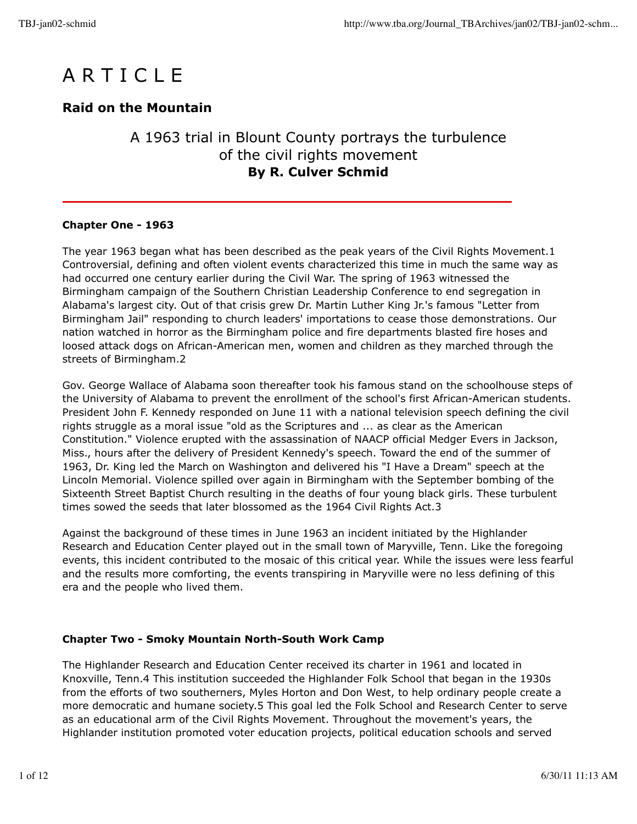

# **Raid on the Mountain**

# A 1963 trial in Blount County portrays the turbulence of the civil rights movement **By R. Culver Schmid**

#### **Chapter One - 1963**

The year 1963 began what has been described as the peak years of the Civil Rights Movement.1 Controversial, defining and often violent events characterized this time in much the same way as had occurred one century earlier during the Civil War. The spring of 1963 witnessed the Birmingham campaign of the Southern Christian Leadership Conference to end segregation in Alabama's largest city. Out of that crisis grew Dr. Martin Luther King Jr.'s famous "Letter from Birmingham Jail" responding to church leaders' importations to cease those demonstrations. Our nation watched in horror as the Birmingham police and fire departments blasted fire hoses and loosed attack dogs on African-American men, women and children as they marched through the streets of Birmingham.2

Gov. George Wallace of Alabama soon thereafter took his famous stand on the schoolhouse steps of the University of Alabama to prevent the enrollment of the school's first African-American students. President John F. Kennedy responded on June 11 with a national television speech defining the civil rights struggle as a moral issue "old as the Scriptures and ... as clear as the American Constitution." Violence erupted with the assassination of NAACP official Medger Evers in Jackson, Miss., hours after the delivery of President Kennedy's speech. Toward the end of the summer of 1963, Dr. King led the March on Washington and delivered his "I Have a Dream" speech at the Lincoln Memorial. Violence spilled over again in Birmingham with the September bombing of the Sixteenth Street Baptist Church resulting in the deaths of four young black girls. These turbulent times sowed the seeds that later blossomed as the 1964 Civil Rights Act.3

Against the background of these times in June 1963 an incident initiated by the Highlander Research and Education Center played out in the small town of Maryville, Tenn. Like the foregoing events, this incident contributed to the mosaic of this critical year. While the issues were less fearful and the results more comforting, the events transpiring in Maryville were no less defining of this era and the people who lived them.

#### **Chapter Two - Smoky Mountain North-South Work Camp**

The Highlander Research and Education Center received its charter in 1961 and located in Knoxville, Tenn.4 This institution succeeded the Highlander Folk School that began in the 1930s from the efforts of two southerners, Myles Horton and Don West, to help ordinary people create a more democratic and humane society.5 This goal led the Folk School and Research Center to serve as an educational arm of the Civil Rights Movement. Throughout the movement's years, the Highlander institution promoted voter education projects, political education schools and served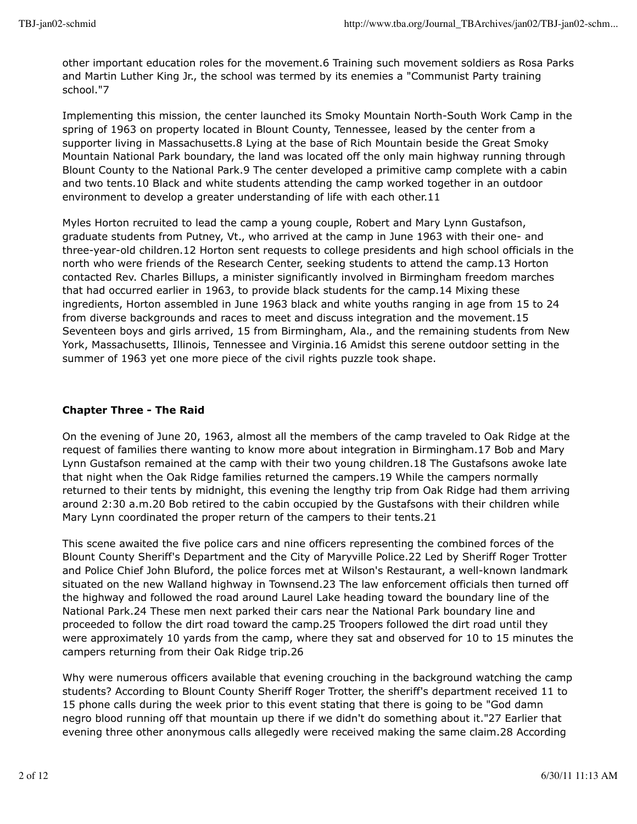other important education roles for the movement.6 Training such movement soldiers as Rosa Parks and Martin Luther King Jr., the school was termed by its enemies a "Communist Party training school."7

Implementing this mission, the center launched its Smoky Mountain North-South Work Camp in the spring of 1963 on property located in Blount County, Tennessee, leased by the center from a supporter living in Massachusetts.8 Lying at the base of Rich Mountain beside the Great Smoky Mountain National Park boundary, the land was located off the only main highway running through Blount County to the National Park.9 The center developed a primitive camp complete with a cabin and two tents.10 Black and white students attending the camp worked together in an outdoor environment to develop a greater understanding of life with each other.11

Myles Horton recruited to lead the camp a young couple, Robert and Mary Lynn Gustafson, graduate students from Putney, Vt., who arrived at the camp in June 1963 with their one- and three-year-old children.12 Horton sent requests to college presidents and high school officials in the north who were friends of the Research Center, seeking students to attend the camp.13 Horton contacted Rev. Charles Billups, a minister significantly involved in Birmingham freedom marches that had occurred earlier in 1963, to provide black students for the camp.14 Mixing these ingredients, Horton assembled in June 1963 black and white youths ranging in age from 15 to 24 from diverse backgrounds and races to meet and discuss integration and the movement.15 Seventeen boys and girls arrived, 15 from Birmingham, Ala., and the remaining students from New York, Massachusetts, Illinois, Tennessee and Virginia.16 Amidst this serene outdoor setting in the summer of 1963 yet one more piece of the civil rights puzzle took shape.

### **Chapter Three - The Raid**

On the evening of June 20, 1963, almost all the members of the camp traveled to Oak Ridge at the request of families there wanting to know more about integration in Birmingham.17 Bob and Mary Lynn Gustafson remained at the camp with their two young children.18 The Gustafsons awoke late that night when the Oak Ridge families returned the campers.19 While the campers normally returned to their tents by midnight, this evening the lengthy trip from Oak Ridge had them arriving around 2:30 a.m.20 Bob retired to the cabin occupied by the Gustafsons with their children while Mary Lynn coordinated the proper return of the campers to their tents.21

This scene awaited the five police cars and nine officers representing the combined forces of the Blount County Sheriff's Department and the City of Maryville Police.22 Led by Sheriff Roger Trotter and Police Chief John Bluford, the police forces met at Wilson's Restaurant, a well-known landmark situated on the new Walland highway in Townsend.23 The law enforcement officials then turned off the highway and followed the road around Laurel Lake heading toward the boundary line of the National Park.24 These men next parked their cars near the National Park boundary line and proceeded to follow the dirt road toward the camp.25 Troopers followed the dirt road until they were approximately 10 yards from the camp, where they sat and observed for 10 to 15 minutes the campers returning from their Oak Ridge trip.26

Why were numerous officers available that evening crouching in the background watching the camp students? According to Blount County Sheriff Roger Trotter, the sheriff's department received 11 to 15 phone calls during the week prior to this event stating that there is going to be "God damn negro blood running off that mountain up there if we didn't do something about it."27 Earlier that evening three other anonymous calls allegedly were received making the same claim.28 According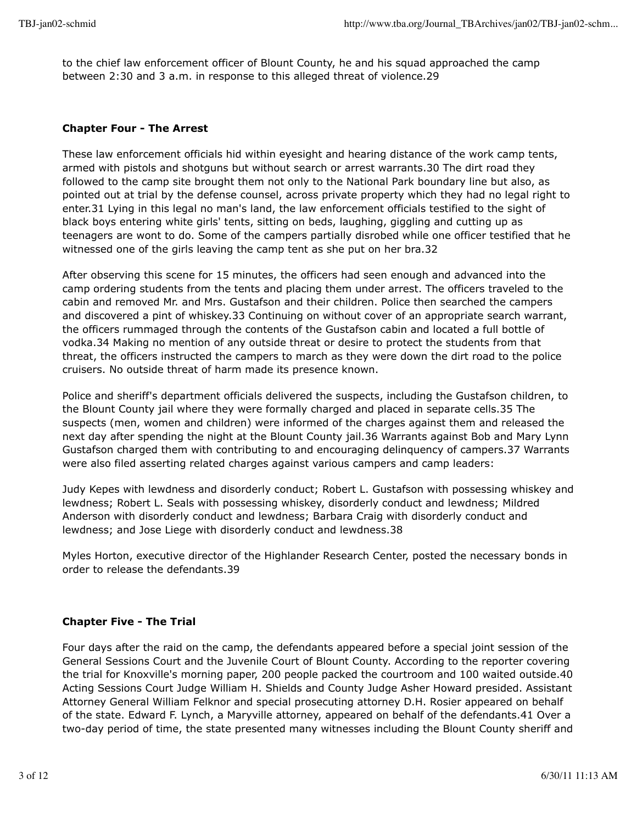to the chief law enforcement officer of Blount County, he and his squad approached the camp between 2:30 and 3 a.m. in response to this alleged threat of violence.29

#### **Chapter Four - The Arrest**

These law enforcement officials hid within eyesight and hearing distance of the work camp tents, armed with pistols and shotguns but without search or arrest warrants.30 The dirt road they followed to the camp site brought them not only to the National Park boundary line but also, as pointed out at trial by the defense counsel, across private property which they had no legal right to enter.31 Lying in this legal no man's land, the law enforcement officials testified to the sight of black boys entering white girls' tents, sitting on beds, laughing, giggling and cutting up as teenagers are wont to do. Some of the campers partially disrobed while one officer testified that he witnessed one of the girls leaving the camp tent as she put on her bra.32

After observing this scene for 15 minutes, the officers had seen enough and advanced into the camp ordering students from the tents and placing them under arrest. The officers traveled to the cabin and removed Mr. and Mrs. Gustafson and their children. Police then searched the campers and discovered a pint of whiskey.33 Continuing on without cover of an appropriate search warrant, the officers rummaged through the contents of the Gustafson cabin and located a full bottle of vodka.34 Making no mention of any outside threat or desire to protect the students from that threat, the officers instructed the campers to march as they were down the dirt road to the police cruisers. No outside threat of harm made its presence known.

Police and sheriff's department officials delivered the suspects, including the Gustafson children, to the Blount County jail where they were formally charged and placed in separate cells.35 The suspects (men, women and children) were informed of the charges against them and released the next day after spending the night at the Blount County jail.36 Warrants against Bob and Mary Lynn Gustafson charged them with contributing to and encouraging delinquency of campers.37 Warrants were also filed asserting related charges against various campers and camp leaders:

Judy Kepes with lewdness and disorderly conduct; Robert L. Gustafson with possessing whiskey and lewdness; Robert L. Seals with possessing whiskey, disorderly conduct and lewdness; Mildred Anderson with disorderly conduct and lewdness; Barbara Craig with disorderly conduct and lewdness; and Jose Liege with disorderly conduct and lewdness.38

Myles Horton, executive director of the Highlander Research Center, posted the necessary bonds in order to release the defendants.39

# **Chapter Five - The Trial**

Four days after the raid on the camp, the defendants appeared before a special joint session of the General Sessions Court and the Juvenile Court of Blount County. According to the reporter covering the trial for Knoxville's morning paper, 200 people packed the courtroom and 100 waited outside.40 Acting Sessions Court Judge William H. Shields and County Judge Asher Howard presided. Assistant Attorney General William Felknor and special prosecuting attorney D.H. Rosier appeared on behalf of the state. Edward F. Lynch, a Maryville attorney, appeared on behalf of the defendants.41 Over a two-day period of time, the state presented many witnesses including the Blount County sheriff and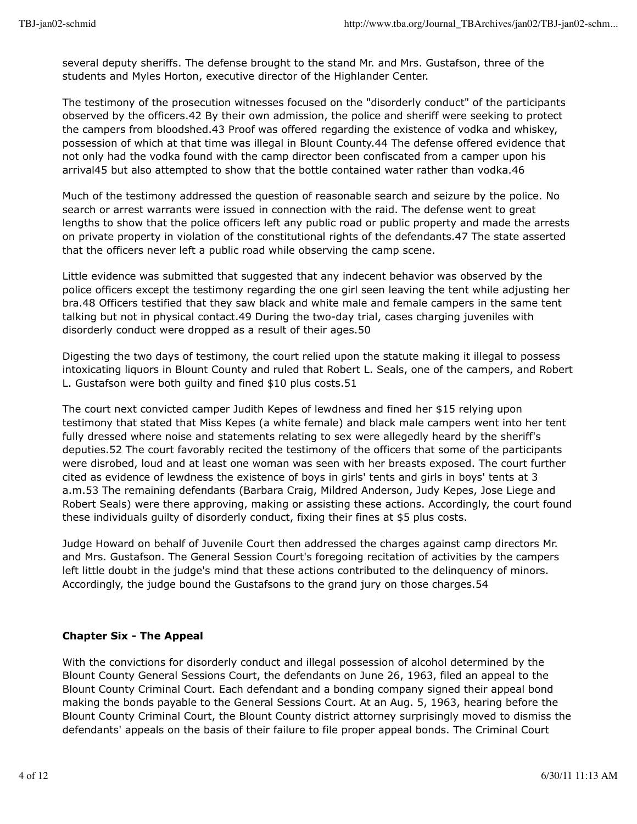several deputy sheriffs. The defense brought to the stand Mr. and Mrs. Gustafson, three of the students and Myles Horton, executive director of the Highlander Center.

The testimony of the prosecution witnesses focused on the "disorderly conduct" of the participants observed by the officers.42 By their own admission, the police and sheriff were seeking to protect the campers from bloodshed.43 Proof was offered regarding the existence of vodka and whiskey, possession of which at that time was illegal in Blount County.44 The defense offered evidence that not only had the vodka found with the camp director been confiscated from a camper upon his arrival45 but also attempted to show that the bottle contained water rather than vodka.46

Much of the testimony addressed the question of reasonable search and seizure by the police. No search or arrest warrants were issued in connection with the raid. The defense went to great lengths to show that the police officers left any public road or public property and made the arrests on private property in violation of the constitutional rights of the defendants.47 The state asserted that the officers never left a public road while observing the camp scene.

Little evidence was submitted that suggested that any indecent behavior was observed by the police officers except the testimony regarding the one girl seen leaving the tent while adjusting her bra.48 Officers testified that they saw black and white male and female campers in the same tent talking but not in physical contact.49 During the two-day trial, cases charging juveniles with disorderly conduct were dropped as a result of their ages.50

Digesting the two days of testimony, the court relied upon the statute making it illegal to possess intoxicating liquors in Blount County and ruled that Robert L. Seals, one of the campers, and Robert L. Gustafson were both guilty and fined \$10 plus costs.51

The court next convicted camper Judith Kepes of lewdness and fined her \$15 relying upon testimony that stated that Miss Kepes (a white female) and black male campers went into her tent fully dressed where noise and statements relating to sex were allegedly heard by the sheriff's deputies.52 The court favorably recited the testimony of the officers that some of the participants were disrobed, loud and at least one woman was seen with her breasts exposed. The court further cited as evidence of lewdness the existence of boys in girls' tents and girls in boys' tents at 3 a.m.53 The remaining defendants (Barbara Craig, Mildred Anderson, Judy Kepes, Jose Liege and Robert Seals) were there approving, making or assisting these actions. Accordingly, the court found these individuals guilty of disorderly conduct, fixing their fines at \$5 plus costs.

Judge Howard on behalf of Juvenile Court then addressed the charges against camp directors Mr. and Mrs. Gustafson. The General Session Court's foregoing recitation of activities by the campers left little doubt in the judge's mind that these actions contributed to the delinquency of minors. Accordingly, the judge bound the Gustafsons to the grand jury on those charges.54

# **Chapter Six - The Appeal**

With the convictions for disorderly conduct and illegal possession of alcohol determined by the Blount County General Sessions Court, the defendants on June 26, 1963, filed an appeal to the Blount County Criminal Court. Each defendant and a bonding company signed their appeal bond making the bonds payable to the General Sessions Court. At an Aug. 5, 1963, hearing before the Blount County Criminal Court, the Blount County district attorney surprisingly moved to dismiss the defendants' appeals on the basis of their failure to file proper appeal bonds. The Criminal Court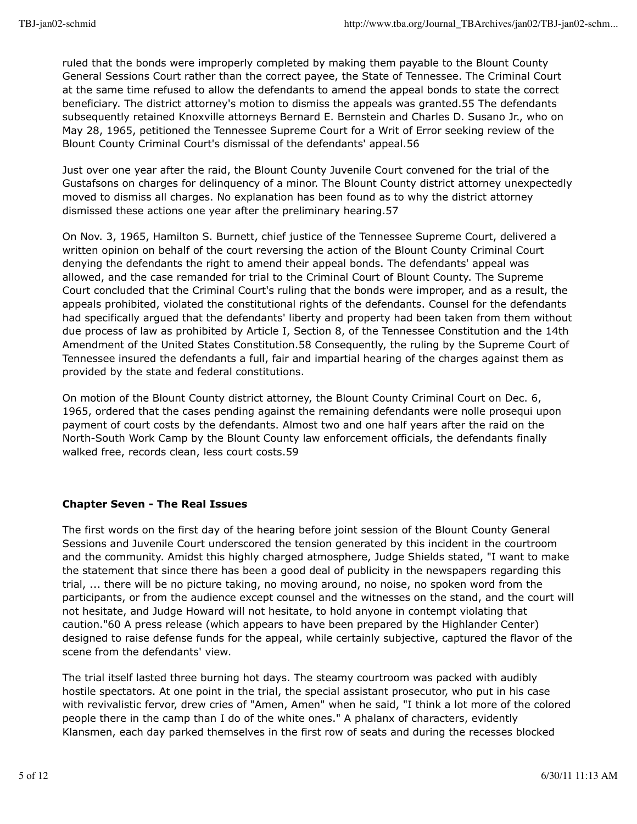ruled that the bonds were improperly completed by making them payable to the Blount County General Sessions Court rather than the correct payee, the State of Tennessee. The Criminal Court at the same time refused to allow the defendants to amend the appeal bonds to state the correct beneficiary. The district attorney's motion to dismiss the appeals was granted.55 The defendants subsequently retained Knoxville attorneys Bernard E. Bernstein and Charles D. Susano Jr., who on May 28, 1965, petitioned the Tennessee Supreme Court for a Writ of Error seeking review of the Blount County Criminal Court's dismissal of the defendants' appeal.56

Just over one year after the raid, the Blount County Juvenile Court convened for the trial of the Gustafsons on charges for delinquency of a minor. The Blount County district attorney unexpectedly moved to dismiss all charges. No explanation has been found as to why the district attorney dismissed these actions one year after the preliminary hearing.57

On Nov. 3, 1965, Hamilton S. Burnett, chief justice of the Tennessee Supreme Court, delivered a written opinion on behalf of the court reversing the action of the Blount County Criminal Court denying the defendants the right to amend their appeal bonds. The defendants' appeal was allowed, and the case remanded for trial to the Criminal Court of Blount County. The Supreme Court concluded that the Criminal Court's ruling that the bonds were improper, and as a result, the appeals prohibited, violated the constitutional rights of the defendants. Counsel for the defendants had specifically argued that the defendants' liberty and property had been taken from them without due process of law as prohibited by Article I, Section 8, of the Tennessee Constitution and the 14th Amendment of the United States Constitution.58 Consequently, the ruling by the Supreme Court of Tennessee insured the defendants a full, fair and impartial hearing of the charges against them as provided by the state and federal constitutions.

On motion of the Blount County district attorney, the Blount County Criminal Court on Dec. 6, 1965, ordered that the cases pending against the remaining defendants were nolle prosequi upon payment of court costs by the defendants. Almost two and one half years after the raid on the North-South Work Camp by the Blount County law enforcement officials, the defendants finally walked free, records clean, less court costs.59

# **Chapter Seven - The Real Issues**

The first words on the first day of the hearing before joint session of the Blount County General Sessions and Juvenile Court underscored the tension generated by this incident in the courtroom and the community. Amidst this highly charged atmosphere, Judge Shields stated, "I want to make the statement that since there has been a good deal of publicity in the newspapers regarding this trial, ... there will be no picture taking, no moving around, no noise, no spoken word from the participants, or from the audience except counsel and the witnesses on the stand, and the court will not hesitate, and Judge Howard will not hesitate, to hold anyone in contempt violating that caution."60 A press release (which appears to have been prepared by the Highlander Center) designed to raise defense funds for the appeal, while certainly subjective, captured the flavor of the scene from the defendants' view.

The trial itself lasted three burning hot days. The steamy courtroom was packed with audibly hostile spectators. At one point in the trial, the special assistant prosecutor, who put in his case with revivalistic fervor, drew cries of "Amen, Amen" when he said, "I think a lot more of the colored people there in the camp than I do of the white ones." A phalanx of characters, evidently Klansmen, each day parked themselves in the first row of seats and during the recesses blocked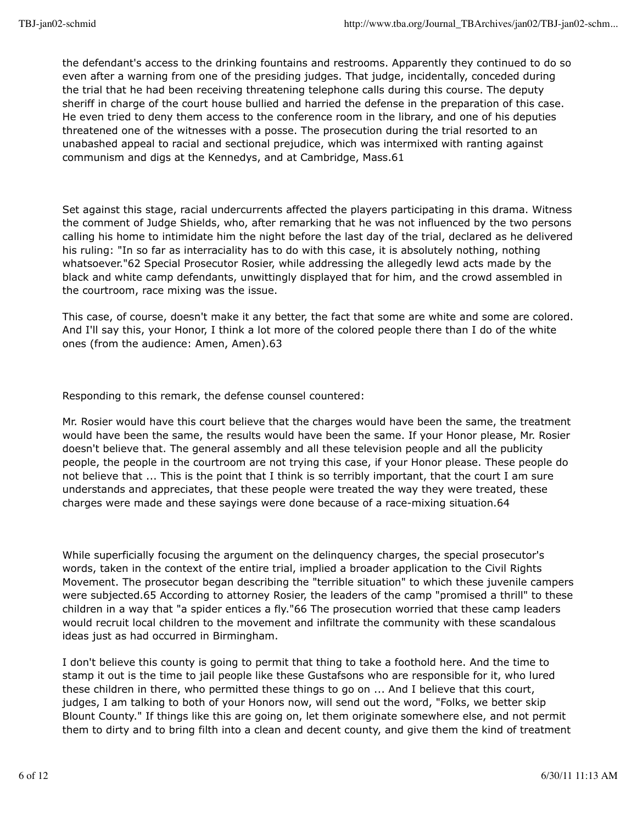the defendant's access to the drinking fountains and restrooms. Apparently they continued to do so even after a warning from one of the presiding judges. That judge, incidentally, conceded during the trial that he had been receiving threatening telephone calls during this course. The deputy sheriff in charge of the court house bullied and harried the defense in the preparation of this case. He even tried to deny them access to the conference room in the library, and one of his deputies threatened one of the witnesses with a posse. The prosecution during the trial resorted to an unabashed appeal to racial and sectional prejudice, which was intermixed with ranting against communism and digs at the Kennedys, and at Cambridge, Mass.61

Set against this stage, racial undercurrents affected the players participating in this drama. Witness the comment of Judge Shields, who, after remarking that he was not influenced by the two persons calling his home to intimidate him the night before the last day of the trial, declared as he delivered his ruling: "In so far as interraciality has to do with this case, it is absolutely nothing, nothing whatsoever."62 Special Prosecutor Rosier, while addressing the allegedly lewd acts made by the black and white camp defendants, unwittingly displayed that for him, and the crowd assembled in the courtroom, race mixing was the issue.

This case, of course, doesn't make it any better, the fact that some are white and some are colored. And I'll say this, your Honor, I think a lot more of the colored people there than I do of the white ones (from the audience: Amen, Amen).63

Responding to this remark, the defense counsel countered:

Mr. Rosier would have this court believe that the charges would have been the same, the treatment would have been the same, the results would have been the same. If your Honor please, Mr. Rosier doesn't believe that. The general assembly and all these television people and all the publicity people, the people in the courtroom are not trying this case, if your Honor please. These people do not believe that ... This is the point that I think is so terribly important, that the court I am sure understands and appreciates, that these people were treated the way they were treated, these charges were made and these sayings were done because of a race-mixing situation.64

While superficially focusing the argument on the delinquency charges, the special prosecutor's words, taken in the context of the entire trial, implied a broader application to the Civil Rights Movement. The prosecutor began describing the "terrible situation" to which these juvenile campers were subjected.65 According to attorney Rosier, the leaders of the camp "promised a thrill" to these children in a way that "a spider entices a fly."66 The prosecution worried that these camp leaders would recruit local children to the movement and infiltrate the community with these scandalous ideas just as had occurred in Birmingham.

I don't believe this county is going to permit that thing to take a foothold here. And the time to stamp it out is the time to jail people like these Gustafsons who are responsible for it, who lured these children in there, who permitted these things to go on ... And I believe that this court, judges, I am talking to both of your Honors now, will send out the word, "Folks, we better skip Blount County." If things like this are going on, let them originate somewhere else, and not permit them to dirty and to bring filth into a clean and decent county, and give them the kind of treatment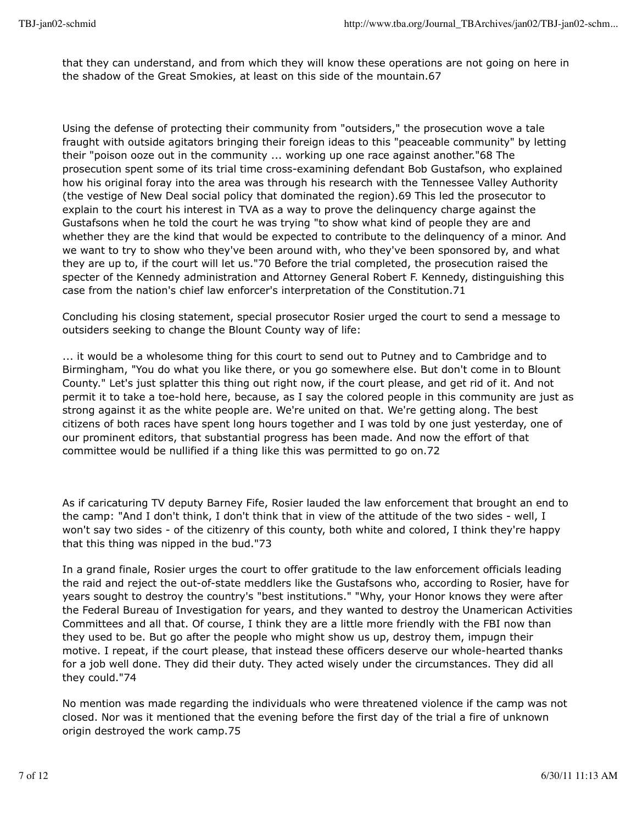that they can understand, and from which they will know these operations are not going on here in the shadow of the Great Smokies, at least on this side of the mountain.67

Using the defense of protecting their community from "outsiders," the prosecution wove a tale fraught with outside agitators bringing their foreign ideas to this "peaceable community" by letting their "poison ooze out in the community ... working up one race against another."68 The prosecution spent some of its trial time cross-examining defendant Bob Gustafson, who explained how his original foray into the area was through his research with the Tennessee Valley Authority (the vestige of New Deal social policy that dominated the region).69 This led the prosecutor to explain to the court his interest in TVA as a way to prove the delinquency charge against the Gustafsons when he told the court he was trying "to show what kind of people they are and whether they are the kind that would be expected to contribute to the delinquency of a minor. And we want to try to show who they've been around with, who they've been sponsored by, and what they are up to, if the court will let us."70 Before the trial completed, the prosecution raised the specter of the Kennedy administration and Attorney General Robert F. Kennedy, distinguishing this case from the nation's chief law enforcer's interpretation of the Constitution.71

Concluding his closing statement, special prosecutor Rosier urged the court to send a message to outsiders seeking to change the Blount County way of life:

... it would be a wholesome thing for this court to send out to Putney and to Cambridge and to Birmingham, "You do what you like there, or you go somewhere else. But don't come in to Blount County." Let's just splatter this thing out right now, if the court please, and get rid of it. And not permit it to take a toe-hold here, because, as I say the colored people in this community are just as strong against it as the white people are. We're united on that. We're getting along. The best citizens of both races have spent long hours together and I was told by one just yesterday, one of our prominent editors, that substantial progress has been made. And now the effort of that committee would be nullified if a thing like this was permitted to go on.72

As if caricaturing TV deputy Barney Fife, Rosier lauded the law enforcement that brought an end to the camp: "And I don't think, I don't think that in view of the attitude of the two sides - well, I won't say two sides - of the citizenry of this county, both white and colored, I think they're happy that this thing was nipped in the bud."73

In a grand finale, Rosier urges the court to offer gratitude to the law enforcement officials leading the raid and reject the out-of-state meddlers like the Gustafsons who, according to Rosier, have for years sought to destroy the country's "best institutions." "Why, your Honor knows they were after the Federal Bureau of Investigation for years, and they wanted to destroy the Unamerican Activities Committees and all that. Of course, I think they are a little more friendly with the FBI now than they used to be. But go after the people who might show us up, destroy them, impugn their motive. I repeat, if the court please, that instead these officers deserve our whole-hearted thanks for a job well done. They did their duty. They acted wisely under the circumstances. They did all they could."74

No mention was made regarding the individuals who were threatened violence if the camp was not closed. Nor was it mentioned that the evening before the first day of the trial a fire of unknown origin destroyed the work camp.75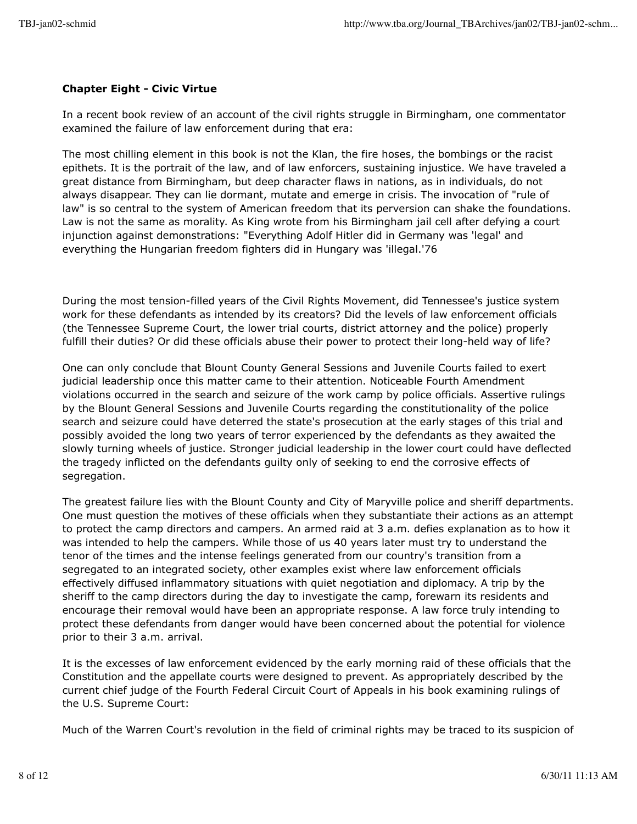# **Chapter Eight - Civic Virtue**

In a recent book review of an account of the civil rights struggle in Birmingham, one commentator examined the failure of law enforcement during that era:

The most chilling element in this book is not the Klan, the fire hoses, the bombings or the racist epithets. It is the portrait of the law, and of law enforcers, sustaining injustice. We have traveled a great distance from Birmingham, but deep character flaws in nations, as in individuals, do not always disappear. They can lie dormant, mutate and emerge in crisis. The invocation of "rule of law" is so central to the system of American freedom that its perversion can shake the foundations. Law is not the same as morality. As King wrote from his Birmingham jail cell after defying a court injunction against demonstrations: "Everything Adolf Hitler did in Germany was 'legal' and everything the Hungarian freedom fighters did in Hungary was 'illegal.'76

During the most tension-filled years of the Civil Rights Movement, did Tennessee's justice system work for these defendants as intended by its creators? Did the levels of law enforcement officials (the Tennessee Supreme Court, the lower trial courts, district attorney and the police) properly fulfill their duties? Or did these officials abuse their power to protect their long-held way of life?

One can only conclude that Blount County General Sessions and Juvenile Courts failed to exert judicial leadership once this matter came to their attention. Noticeable Fourth Amendment violations occurred in the search and seizure of the work camp by police officials. Assertive rulings by the Blount General Sessions and Juvenile Courts regarding the constitutionality of the police search and seizure could have deterred the state's prosecution at the early stages of this trial and possibly avoided the long two years of terror experienced by the defendants as they awaited the slowly turning wheels of justice. Stronger judicial leadership in the lower court could have deflected the tragedy inflicted on the defendants guilty only of seeking to end the corrosive effects of segregation.

The greatest failure lies with the Blount County and City of Maryville police and sheriff departments. One must question the motives of these officials when they substantiate their actions as an attempt to protect the camp directors and campers. An armed raid at 3 a.m. defies explanation as to how it was intended to help the campers. While those of us 40 years later must try to understand the tenor of the times and the intense feelings generated from our country's transition from a segregated to an integrated society, other examples exist where law enforcement officials effectively diffused inflammatory situations with quiet negotiation and diplomacy. A trip by the sheriff to the camp directors during the day to investigate the camp, forewarn its residents and encourage their removal would have been an appropriate response. A law force truly intending to protect these defendants from danger would have been concerned about the potential for violence prior to their 3 a.m. arrival.

It is the excesses of law enforcement evidenced by the early morning raid of these officials that the Constitution and the appellate courts were designed to prevent. As appropriately described by the current chief judge of the Fourth Federal Circuit Court of Appeals in his book examining rulings of the U.S. Supreme Court:

Much of the Warren Court's revolution in the field of criminal rights may be traced to its suspicion of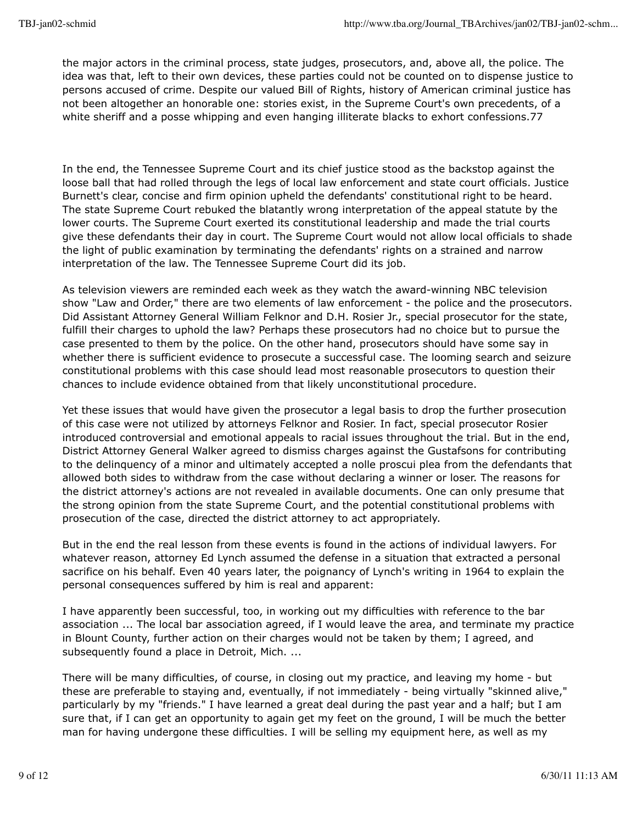the major actors in the criminal process, state judges, prosecutors, and, above all, the police. The idea was that, left to their own devices, these parties could not be counted on to dispense justice to persons accused of crime. Despite our valued Bill of Rights, history of American criminal justice has not been altogether an honorable one: stories exist, in the Supreme Court's own precedents, of a white sheriff and a posse whipping and even hanging illiterate blacks to exhort confessions.77

In the end, the Tennessee Supreme Court and its chief justice stood as the backstop against the loose ball that had rolled through the legs of local law enforcement and state court officials. Justice Burnett's clear, concise and firm opinion upheld the defendants' constitutional right to be heard. The state Supreme Court rebuked the blatantly wrong interpretation of the appeal statute by the lower courts. The Supreme Court exerted its constitutional leadership and made the trial courts give these defendants their day in court. The Supreme Court would not allow local officials to shade the light of public examination by terminating the defendants' rights on a strained and narrow interpretation of the law. The Tennessee Supreme Court did its job.

As television viewers are reminded each week as they watch the award-winning NBC television show "Law and Order," there are two elements of law enforcement - the police and the prosecutors. Did Assistant Attorney General William Felknor and D.H. Rosier Jr., special prosecutor for the state, fulfill their charges to uphold the law? Perhaps these prosecutors had no choice but to pursue the case presented to them by the police. On the other hand, prosecutors should have some say in whether there is sufficient evidence to prosecute a successful case. The looming search and seizure constitutional problems with this case should lead most reasonable prosecutors to question their chances to include evidence obtained from that likely unconstitutional procedure.

Yet these issues that would have given the prosecutor a legal basis to drop the further prosecution of this case were not utilized by attorneys Felknor and Rosier. In fact, special prosecutor Rosier introduced controversial and emotional appeals to racial issues throughout the trial. But in the end, District Attorney General Walker agreed to dismiss charges against the Gustafsons for contributing to the delinquency of a minor and ultimately accepted a nolle proscui plea from the defendants that allowed both sides to withdraw from the case without declaring a winner or loser. The reasons for the district attorney's actions are not revealed in available documents. One can only presume that the strong opinion from the state Supreme Court, and the potential constitutional problems with prosecution of the case, directed the district attorney to act appropriately.

But in the end the real lesson from these events is found in the actions of individual lawyers. For whatever reason, attorney Ed Lynch assumed the defense in a situation that extracted a personal sacrifice on his behalf. Even 40 years later, the poignancy of Lynch's writing in 1964 to explain the personal consequences suffered by him is real and apparent:

I have apparently been successful, too, in working out my difficulties with reference to the bar association ... The local bar association agreed, if I would leave the area, and terminate my practice in Blount County, further action on their charges would not be taken by them; I agreed, and subsequently found a place in Detroit, Mich. ...

There will be many difficulties, of course, in closing out my practice, and leaving my home - but these are preferable to staying and, eventually, if not immediately - being virtually "skinned alive," particularly by my "friends." I have learned a great deal during the past year and a half; but I am sure that, if I can get an opportunity to again get my feet on the ground, I will be much the better man for having undergone these difficulties. I will be selling my equipment here, as well as my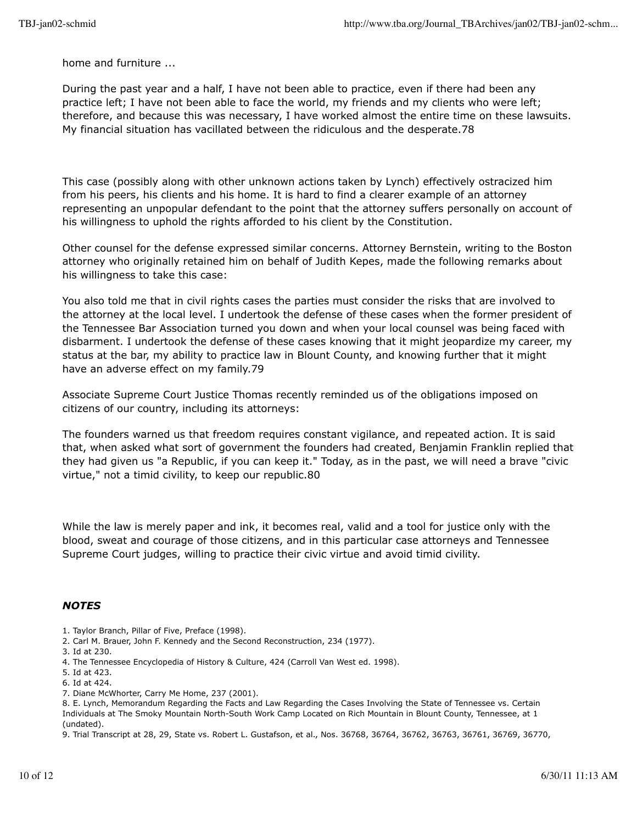home and furniture ...

During the past year and a half, I have not been able to practice, even if there had been any practice left; I have not been able to face the world, my friends and my clients who were left; therefore, and because this was necessary, I have worked almost the entire time on these lawsuits. My financial situation has vacillated between the ridiculous and the desperate.78

This case (possibly along with other unknown actions taken by Lynch) effectively ostracized him from his peers, his clients and his home. It is hard to find a clearer example of an attorney representing an unpopular defendant to the point that the attorney suffers personally on account of his willingness to uphold the rights afforded to his client by the Constitution.

Other counsel for the defense expressed similar concerns. Attorney Bernstein, writing to the Boston attorney who originally retained him on behalf of Judith Kepes, made the following remarks about his willingness to take this case:

You also told me that in civil rights cases the parties must consider the risks that are involved to the attorney at the local level. I undertook the defense of these cases when the former president of the Tennessee Bar Association turned you down and when your local counsel was being faced with disbarment. I undertook the defense of these cases knowing that it might jeopardize my career, my status at the bar, my ability to practice law in Blount County, and knowing further that it might have an adverse effect on my family.79

Associate Supreme Court Justice Thomas recently reminded us of the obligations imposed on citizens of our country, including its attorneys:

The founders warned us that freedom requires constant vigilance, and repeated action. It is said that, when asked what sort of government the founders had created, Benjamin Franklin replied that they had given us "a Republic, if you can keep it." Today, as in the past, we will need a brave "civic virtue," not a timid civility, to keep our republic.80

While the law is merely paper and ink, it becomes real, valid and a tool for justice only with the blood, sweat and courage of those citizens, and in this particular case attorneys and Tennessee Supreme Court judges, willing to practice their civic virtue and avoid timid civility.

#### *NOTES*

- 1. Taylor Branch, Pillar of Five, Preface (1998).
- 2. Carl M. Brauer, John F. Kennedy and the Second Reconstruction, 234 (1977).
- 3. Id at 230.
- 4. The Tennessee Encyclopedia of History & Culture, 424 (Carroll Van West ed. 1998).
- 5. Id at 423.
- 6. Id at 424.
- 7. Diane McWhorter, Carry Me Home, 237 (2001).

8. E. Lynch, Memorandum Regarding the Facts and Law Regarding the Cases Involving the State of Tennessee vs. Certain Individuals at The Smoky Mountain North-South Work Camp Located on Rich Mountain in Blount County, Tennessee, at 1 (undated).

9. Trial Transcript at 28, 29, State vs. Robert L. Gustafson, et al., Nos. 36768, 36764, 36762, 36763, 36761, 36769, 36770,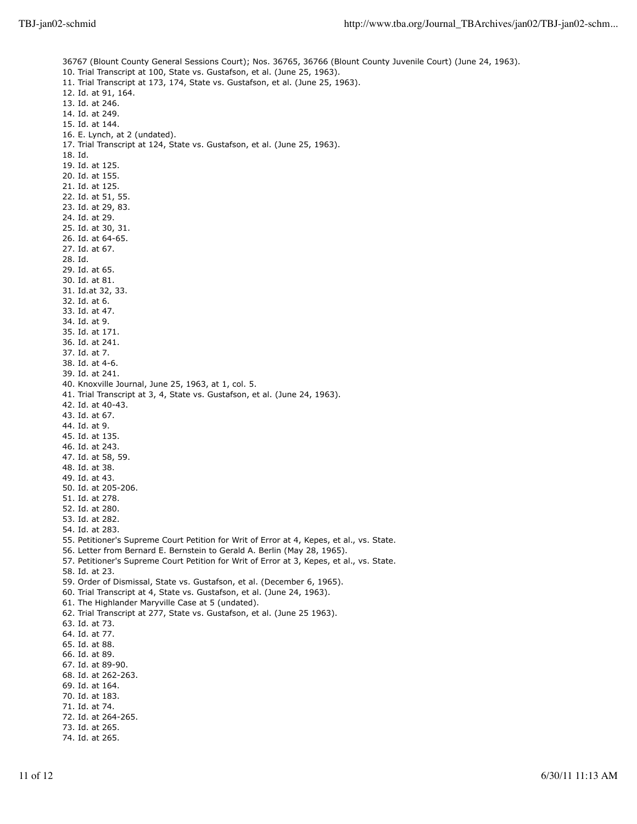36767 (Blount County General Sessions Court); Nos. 36765, 36766 (Blount County Juvenile Court) (June 24, 1963). 10. Trial Transcript at 100, State vs. Gustafson, et al. (June 25, 1963). 11. Trial Transcript at 173, 174, State vs. Gustafson, et al. (June 25, 1963). 12. Id. at 91, 164. 13. Id. at 246. 14. Id. at 249. 15. Id. at 144. 16. E. Lynch, at 2 (undated). 17. Trial Transcript at 124, State vs. Gustafson, et al. (June 25, 1963). 18. Id. 19. Id. at 125. 20. Id. at 155. 21. Id. at 125. 22. Id. at 51, 55. 23. Id. at 29, 83. 24. Id. at 29. 25. Id. at 30, 31. 26. Id. at 64-65. 27. Id. at 67. 28. Id. 29. Id. at 65. 30. Id. at 81. 31. Id.at 32, 33. 32. Id. at 6. 33. Id. at 47. 34. Id. at 9. 35. Id. at 171. 36. Id. at 241. 37. Id. at 7. 38. Id. at 4-6. 39. Id. at 241. 40. Knoxville Journal, June 25, 1963, at 1, col. 5. 41. Trial Transcript at 3, 4, State vs. Gustafson, et al. (June 24, 1963). 42. Id. at 40-43. 43. Id. at 67. 44. Id. at 9. 45. Id. at 135. 46. Id. at 243. 47. Id. at 58, 59. 48. Id. at 38. 49. Id. at 43. 50. Id. at 205-206. 51. Id. at 278. 52. Id. at 280. 53. Id. at 282. 54. Id. at 283. 55. Petitioner's Supreme Court Petition for Writ of Error at 4, Kepes, et al., vs. State. 56. Letter from Bernard E. Bernstein to Gerald A. Berlin (May 28, 1965). 57. Petitioner's Supreme Court Petition for Writ of Error at 3, Kepes, et al., vs. State. 58. Id. at 23. 59. Order of Dismissal, State vs. Gustafson, et al. (December 6, 1965). 60. Trial Transcript at 4, State vs. Gustafson, et al. (June 24, 1963). 61. The Highlander Maryville Case at 5 (undated). 62. Trial Transcript at 277, State vs. Gustafson, et al. (June 25 1963). 63. Id. at 73. 64. Id. at 77. 65. Id. at 88. 66. Id. at 89. 67. Id. at 89-90. 68. Id. at 262-263. 69. Id. at 164. 70. Id. at 183. 71. Id. at 74. 72. Id. at 264-265. 73. Id. at 265. 74. Id. at 265.